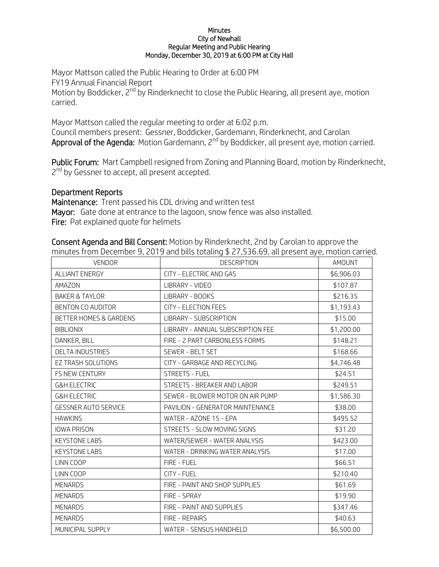## **Minutes** City of Newhall Regular Meeting and Public Hearing Monday, December 30, 2019 at 6:00 PM at City Hall

Mayor Mattson called the Public Hearing to Order at 6:00 PM FY19 Annual Financial Report Motion by Boddicker, 2<sup>nd</sup> by Rinderknecht to close the Public Hearing, all present aye, motion carried.

Mayor Mattson called the regular meeting to order at 6:02 p.m. Council members present: Gessner, Boddicker, Gardemann, Rinderknecht, and Carolan **Approval of the Agenda:** Motion Gardemann, 2<sup>nd</sup> by Boddicker, all present aye, motion carried.

Public Forum: Mart Campbell resigned from Zoning and Planning Board, motion by Rinderknecht, 2<sup>nd</sup> by Gessner to accept, all present accepted.

## Department Reports

Maintenance: Trent passed his CDL driving and written test Mayor: Gate done at entrance to the lagoon, snow fence was also installed. Fire: Pat explained quote for helmets

VENDOR **DESCRIPTION** DESCRIPTION **NAMOUNT** ALLIANT ENERGY CITY - ELECTRIC AND GAS S6,906.03 AMAZON LIBRARY - VIDEO \$107.87 BAKER & TAYLOR LIBRARY - BOOKS \$216.35 BENTON CO AUDITOR CITY - ELECTION FEES **\$1,193.43** BETTER HOMES & GARDENS LIBRARY - SUBSCRIPTION FILED ASSETTER HOMES & GARDENS BIBLIONIX LIBRARY - ANNUAL SUBSCRIPTION FEE \$1,200.00 DANKER, BILL FIRE - 2 PART CARBONLESS FORMS \$148.21 DELTA INDUSTRIES SEWER - BELT SET SET SET SERVER AND STEAD STEADS. EZ TRASH SOLUTIONS 
LETY - GARBAGE AND RECYCLING

LETTRASH SOLUTIONS FS NEW CENTURY STREETS - FUEL STREETS - FUEL SALES AND STREETS - FUEL STREETS - FUEL STREETS - SALES AND STREETS - FUEL STREETS - FUEL STREETS - SALES AND STREETS - FUEL STREETS - FUEL STREETS - SALES AND STREETS - FUEL ST G&H ELECTRIC GALLECTRIC STREETS - BREAKER AND LABOR STREETS - \$249.51 G&H ELECTRIC GEWER - BLOWER MOTOR ON AIR PUMP \$1,586.30 GESSNER AUTO SERVICE | PAVILION - GENERATOR MAINTENANCE | \$38.00 HAWKINS WATER - AZONE 15 - EPA **\$495.52** IOWA PRISON STREETS - SLOW MOVING SIGNS SAND STATES AND STREETS AND STREETS - SLOW MOVING SIGNS KEYSTONE LABS 
WATER/SEWER - WATER ANALYSIS

WATER ANALYSIS

WATER ANALYSIS KEYSTONE LABS 
WATER - DRINKING WATER ANALYSIS

NET \$17.00 LINN COOP FIRE - FUEL FIRE - FUEL SERVICE SERVICE SERVICE SERVICE SERVICE SERVICE SERVICE SERVICE SERVICE SERVICE SERVICE SERVICE SERVICE SERVICE SERVICE SERVICE SERVICE SERVICE SERVICE SERVICE SERVICE SERVICE SERVICE SERV LINN COOP CITY - FUEL \$210.40 MENARDS FIRE - PAINT AND SHOP SUPPLIES \$61.69 MENARDS FIRE - SPRAY SERVED ASSESSED A STRUCK STRUCK STRUCK STRUCK STRUCK STRUCK STRUCK STRUCK STRUCK STRUCK STRUCK MENARDS FIRE - PAINT AND SUPPLIES SAND ASSAMENDED ASSAMENT AND SUPPLIES MENARDS FIRE - REPAIRS FIRE - REPAIRS 540.63 MUNICIPAL SUPPLY WATER - SENSUS HANDHELD \$6,500.00

Consent Agenda and Bill Consent: Motion by Rinderknecht, 2nd by Carolan to approve the minutes from December 9, 2019 and bills totaling \$ 27,536.69, all present aye, motion carried.